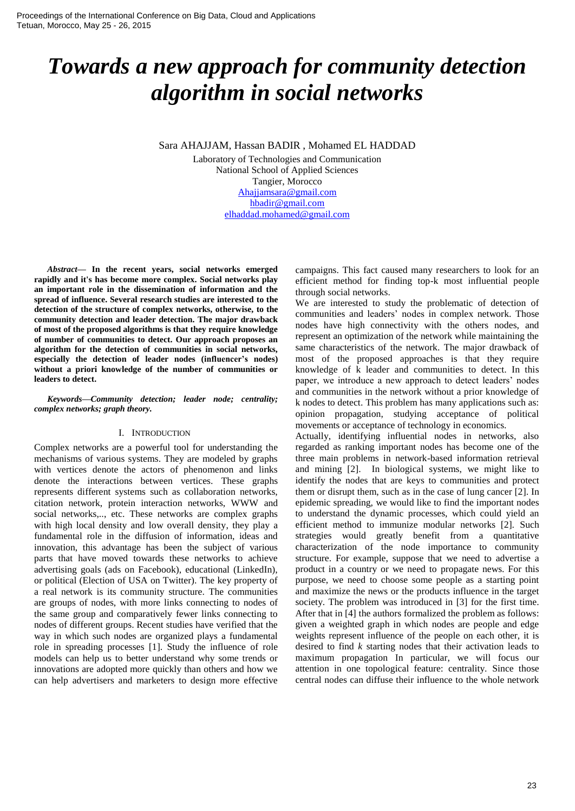# *Towards a new approach for community detection algorithm in social networks*

Sara AHAJJAM, Hassan BADIR , Mohamed EL HADDAD

Laboratory of Technologies and Communication National School of Applied Sciences Tangier, Morocco [Ahajjamsara@gmail.com](mailto:Ahajjamsara@gmail.com) [hbadir@gmail.com](mailto:hbadir@gmail.com) [elhaddad.mohamed@gmail.com](mailto:elhaddad.mohamed@gmail.com)

*Abstract***— In the recent years, social networks emerged rapidly and it's has become more complex. Social networks play an important role in the dissemination of information and the spread of influence. Several research studies are interested to the detection of the structure of complex networks, otherwise, to the community detection and leader detection. The major drawback of most of the proposed algorithms is that they require knowledge of number of communities to detect. Our approach proposes an algorithm for the detection of communities in social networks, especially the detection of leader nodes (influencer's nodes) without a priori knowledge of the number of communities or leaders to detect.**

*Keywords—Community detection; leader node; centrality; complex networks; graph theory.*

#### I. INTRODUCTION

Complex networks are a powerful tool for understanding the mechanisms of various systems. They are modeled by graphs with vertices denote the actors of phenomenon and links denote the interactions between vertices. These graphs represents different systems such as collaboration networks, citation network, protein interaction networks, WWW and social networks,.., etc. These networks are complex graphs with high local density and low overall density, they play a fundamental role in the diffusion of information, ideas and innovation, this advantage has been the subject of various parts that have moved towards these networks to achieve advertising goals (ads on Facebook), educational (LinkedIn), or political (Election of USA on Twitter). The key property of a real network is its community structure. The communities are groups of nodes, with more links connecting to nodes of the same group and comparatively fewer links connecting to nodes of different groups. Recent studies have verified that the way in which such nodes are organized plays a fundamental role in spreading processes [1]. Study the influence of role models can help us to better understand why some trends or innovations are adopted more quickly than others and how we can help advertisers and marketers to design more effective

campaigns. This fact caused many researchers to look for an efficient method for finding top-k most influential people through social networks.

We are interested to study the problematic of detection of communities and leaders' nodes in complex network. Those nodes have high connectivity with the others nodes, and represent an optimization of the network while maintaining the same characteristics of the network. The major drawback of most of the proposed approaches is that they require knowledge of k leader and communities to detect. In this paper, we introduce a new approach to detect leaders' nodes and communities in the network without a prior knowledge of k nodes to detect. This problem has many applications such as: opinion propagation, studying acceptance of political movements or acceptance of technology in economics.

Actually, identifying influential nodes in networks, also regarded as ranking important nodes has become one of the three main problems in network-based information retrieval and mining [2]. In biological systems, we might like to identify the nodes that are keys to communities and protect them or disrupt them, such as in the case of lung cancer [2]. In epidemic spreading, we would like to find the important nodes to understand the dynamic processes, which could yield an efficient method to immunize modular networks [2]. Such strategies would greatly benefit from a quantitative characterization of the node importance to community structure. For example, suppose that we need to advertise a product in a country or we need to propagate news. For this purpose, we need to choose some people as a starting point and maximize the news or the products influence in the target society. The problem was introduced in [3] for the first time. After that in [4] the authors formalized the problem as follows: given a weighted graph in which nodes are people and edge weights represent influence of the people on each other, it is desired to find *k* starting nodes that their activation leads to maximum propagation In particular, we will focus our attention in one topological feature: centrality. Since those central nodes can diffuse their influence to the whole network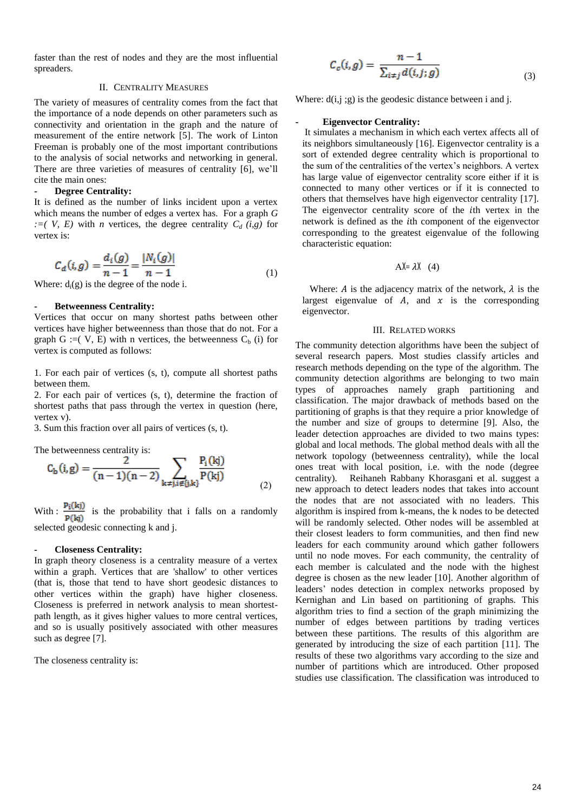faster than the rest of nodes and they are the most influential spreaders.

### II. CENTRALITY MEASURES

The variety of measures of centrality comes from the fact that the importance of a node depends on other parameters such as connectivity and orientation in the graph and the nature of measurement of the entire network [5]. The work of Linton Freeman is probably one of the most important contributions to the analysis of social networks and networking in general. There are three varieties of measures of centrality [6], we'll cite the main ones:

### **- Degree Centrality:**

It is defined as the number of links incident upon a vertex which means the number of edges a vertex has. For a graph *G*   $:=(V, E)$  with *n* vertices, the degree centrality  $C_d$  (*i,g*) for vertex is:

$$
C_d(i,g) = \frac{d_i(g)}{n-1} = \frac{|N_i(g)|}{n-1}
$$
  
and (c) is the degree of the node i. (1)

Where:  $d_i(g)$  is the degree of the node i.

### **- Betweenness Centrality:**

Vertices that occur on many shortest paths between other vertices have higher betweenness than those that do not. For a graph G :=( V, E) with n vertices, the betweenness  $C_b$  (i) for vertex is computed as follows:

1. For each pair of vertices (s, t), compute all shortest paths between them.

2. For each pair of vertices (s, t), determine the fraction of shortest paths that pass through the vertex in question (here, vertex v).

3. Sum this fraction over all pairs of vertices (s, t).

The betweenness centrality is:

$$
C_{b}(i,g) = \frac{2}{(n-1)(n-2)} \sum_{k \neq j,i \notin \{j,k\}} \frac{P_{i}(kj)}{P(kj)}
$$
(2)

With :  $\frac{\mathbf{p}_i(kj)}{\mathbf{p}(kj)}$  is the probability that i falls on a randomly selected geodesic connecting k and j.

## **- Closeness Centrality:**

In graph theory closeness is a centrality measure of a vertex within a graph. Vertices that are 'shallow' to other vertices (that is, those that tend to have short geodesic distances to other vertices within the graph) have higher closeness. Closeness is preferred in network analysis to mean shortestpath length, as it gives higher values to more central vertices, and so is usually positively associated with other measures such as degree [7].

The closeness centrality is:

$$
C_c(i,g) = \frac{n-1}{\sum_{i \neq j} d(i,j;g)}\tag{3}
$$

Where:  $d(i, j; g)$  is the geodesic distance between i and j.

## **- Eigenvector Centrality:**

It simulates a mechanism in which each vertex affects all of its neighbors simultaneously [16]. Eigenvector centrality is a sort of extended degree centrality which is proportional to the sum of the centralities of the vertex's neighbors. A vertex has large value of eigenvector centrality score either if it is connected to many other vertices or if it is connected to others that themselves have high eigenvector centrality [17]. The eigenvector centrality score of the th vertex in the network is defined as the th component of the eigenvector corresponding to the greatest eigenvalue of the following characteristic equation:

$$
A X = \lambda X \quad (4)
$$

Where: A is the adjacency matrix of the network,  $\lambda$  is the largest eigenvalue of  $A$ , and  $x$  is the corresponding eigenvector.

#### III. RELATED WORKS

The community detection algorithms have been the subject of several research papers. Most studies classify articles and research methods depending on the type of the algorithm. The community detection algorithms are belonging to two main types of approaches namely graph partitioning and classification. The major drawback of methods based on the partitioning of graphs is that they require a prior knowledge of the number and size of groups to determine [9]. Also, the leader detection approaches are divided to two mains types: global and local methods. The global method deals with all the network topology (betweenness centrality), while the local ones treat with local position, i.e. with the node (degree centrality). Reihaneh Rabbany Khorasgani et al. suggest a new approach to detect leaders nodes that takes into account the nodes that are not associated with no leaders. This algorithm is inspired from k-means, the k nodes to be detected will be randomly selected. Other nodes will be assembled at their closest leaders to form communities, and then find new leaders for each community around which gather followers until no node moves. For each community, the centrality of each member is calculated and the node with the highest degree is chosen as the new leader [10]. Another algorithm of leaders' nodes detection in complex networks proposed by Kernighan and Lin based on partitioning of graphs. This algorithm tries to find a section of the graph minimizing the number of edges between partitions by trading vertices between these partitions. The results of this algorithm are generated by introducing the size of each partition [11]. The results of these two algorithms vary according to the size and number of partitions which are introduced. Other proposed studies use classification. The classification was introduced to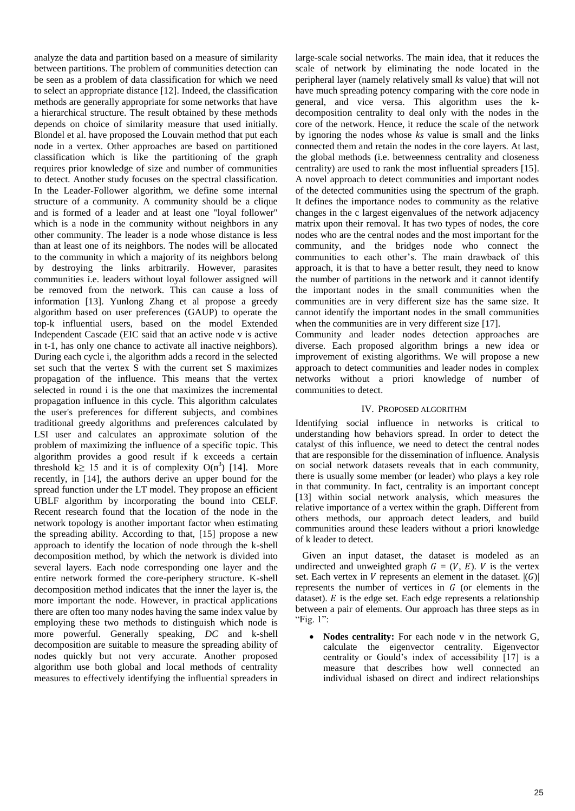analyze the data and partition based on a measure of similarity between partitions. The problem of communities detection can be seen as a problem of data classification for which we need to select an appropriate distance [12]. Indeed, the classification methods are generally appropriate for some networks that have a hierarchical structure. The result obtained by these methods depends on choice of similarity measure that used initially. Blondel et al. have proposed the Louvain method that put each node in a vertex. Other approaches are based on partitioned classification which is like the partitioning of the graph requires prior knowledge of size and number of communities to detect. Another study focuses on the spectral classification. In the Leader-Follower algorithm, we define some internal structure of a community. A community should be a clique and is formed of a leader and at least one "loyal follower" which is a node in the community without neighbors in any other community. The leader is a node whose distance is less than at least one of its neighbors. The nodes will be allocated to the community in which a majority of its neighbors belong by destroying the links arbitrarily. However, parasites communities i.e. leaders without loyal follower assigned will be removed from the network. This can cause a loss of information [13]. Yunlong Zhang et al propose a greedy algorithm based on user preferences (GAUP) to operate the top-k influential users, based on the model Extended Independent Cascade (EIC said that an active node v is active in t-1, has only one chance to activate all inactive neighbors). During each cycle i, the algorithm adds a record in the selected set such that the vertex S with the current set S maximizes propagation of the influence. This means that the vertex selected in round i is the one that maximizes the incremental propagation influence in this cycle. This algorithm calculates the user's preferences for different subjects, and combines traditional greedy algorithms and preferences calculated by LSI user and calculates an approximate solution of the problem of maximizing the influence of a specific topic. This algorithm provides a good result if k exceeds a certain threshold  $k \ge 15$  and it is of complexity  $O(n^3)$  [14]. More recently, in [14], the authors derive an upper bound for the spread function under the LT model. They propose an efficient UBLF algorithm by incorporating the bound into CELF. Recent research found that the location of the node in the network topology is another important factor when estimating the spreading ability. According to that, [15] propose a new approach to identify the location of node through the k-shell decomposition method, by which the network is divided into several layers. Each node corresponding one layer and the entire network formed the core-periphery structure. K-shell decomposition method indicates that the inner the layer is, the more important the node. However, in practical applications there are often too many nodes having the same index value by employing these two methods to distinguish which node is more powerful. Generally speaking, *DC* and k-shell decomposition are suitable to measure the spreading ability of nodes quickly but not very accurate. Another proposed algorithm use both global and local methods of centrality measures to effectively identifying the influential spreaders in large-scale social networks. The main idea, that it reduces the scale of network by eliminating the node located in the peripheral layer (namely relatively small *ks* value) that will not have much spreading potency comparing with the core node in general, and vice versa. This algorithm uses the kdecomposition centrality to deal only with the nodes in the core of the network. Hence, it reduce the scale of the network by ignoring the nodes whose *ks* value is small and the links connected them and retain the nodes in the core layers. At last, the global methods (i.e. betweenness centrality and closeness centrality) are used to rank the most influential spreaders [15]. A novel approach to detect communities and important nodes of the detected communities using the spectrum of the graph. It defines the importance nodes to community as the relative changes in the c largest eigenvalues of the network adjacency matrix upon their removal. It has two types of nodes, the core nodes who are the central nodes and the most important for the community, and the bridges node who connect the communities to each other's. The main drawback of this approach, it is that to have a better result, they need to know the number of partitions in the network and it cannot identify the important nodes in the small communities when the communities are in very different size has the same size. It cannot identify the important nodes in the small communities when the communities are in very different size [17].

Community and leader nodes detection approaches are diverse. Each proposed algorithm brings a new idea or improvement of existing algorithms. We will propose a new approach to detect communities and leader nodes in complex networks without a priori knowledge of number of communities to detect.

## IV. PROPOSED ALGORITHM

Identifying social influence in networks is critical to understanding how behaviors spread. In order to detect the catalyst of this influence, we need to detect the central nodes that are responsible for the dissemination of influence. Analysis on social network datasets reveals that in each community, there is usually some member (or leader) who plays a key role in that community. In fact, centrality is an important concept [13] within social network analysis, which measures the relative importance of a vertex within the graph. Different from others methods, our approach detect leaders, and build communities around these leaders without a priori knowledge of k leader to detect.

Given an input dataset, the dataset is modeled as an undirected and unweighted graph  $G = (V, E)$ . *V* is the vertex set. Each vertex in *V* represents an element in the dataset.  $|(G)|$ represents the number of vertices in  $G$  (or elements in the dataset).  $E$  is the edge set. Each edge represents a relationship between a pair of elements. Our approach has three steps as in "Fig. 1":

• Nodes centrality: For each node v in the network G, calculate the eigenvector centrality. Eigenvector centrality or Gould's index of accessibility [17] is a measure that describes how well connected an individual isbased on direct and indirect relationships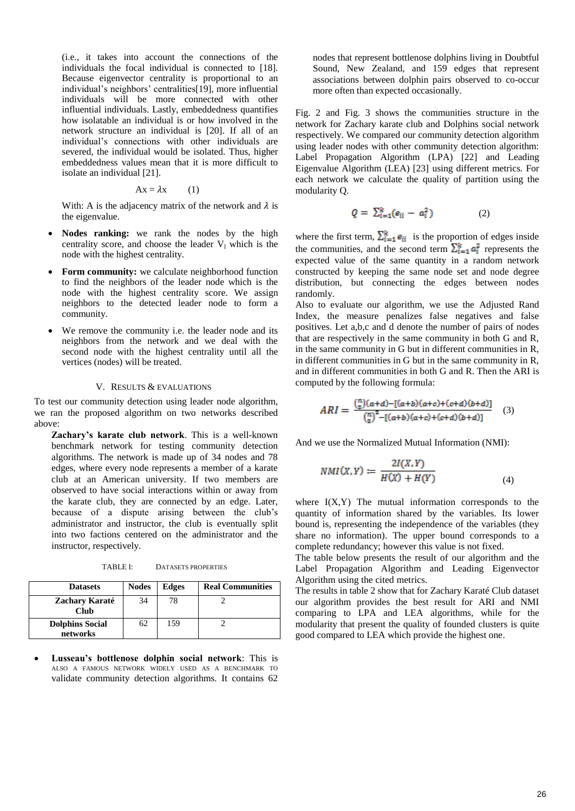(i.e., it takes into account the connections of the individuals the focal individual is connected to [18]. Because eigenvector centrality is proportional to an individual's neighbors' centralities[19], more influential individuals will be more connected with other influential individuals. Lastly, embeddedness quantifies how isolatable an individual is or how involved in the network structure an individual is [20]. If all of an individual's connections with other individuals are severed, the individual would be isolated. Thus, higher embeddedness values mean that it is more difficult to isolate an individual [21].

$$
Ax = \lambda x \qquad (1)
$$

With: A is the adjacency matrix of the network and  $\lambda$  is the eigenvalue.

- **Nodes ranking:** we rank the nodes by the high centrality score, and choose the leader  $V_1$  which is the node with the highest centrality.
- **Form community:** we calculate neighborhood function to find the neighbors of the leader node which is the node with the highest centrality score. We assign neighbors to the detected leader node to form a community.
- We remove the community i.e. the leader node and its neighbors from the network and we deal with the second node with the highest centrality until all the vertices (nodes) will be treated.

#### V. RESULTS & EVALUATIONS

To test our community detection using leader node algorithm, we ran the proposed algorithm on two networks described above:

**Zachary's karate club network**. This is a well-known benchmark network for testing community detection algorithms. The network is made up of 34 nodes and 78 edges, where every node represents a member of a karate club at an American university. If two members are observed to have social interactions within or away from the karate club, they are connected by an edge. Later, because of a dispute arising between the club's administrator and instructor, the club is eventually split into two factions centered on the administrator and the instructor, respectively.

TABLE I: DATASETS PROPERTIES

| <b>Datasets</b>                    | <b>Nodes</b> | <b>Edges</b> | <b>Real Communities</b> |  |
|------------------------------------|--------------|--------------|-------------------------|--|
| Zachary Karaté<br>Club             | 34           | 78           |                         |  |
| <b>Dolphins Social</b><br>networks | 62           | 159          |                         |  |

 **Lusseau's bottlenose dolphin social network**: This is ALSO A FAMOUS NETWORK WIDELY USED AS A BENCHMARK TO validate community detection algorithms. It contains 62

nodes that represent bottlenose dolphins living in Doubtful Sound, New Zealand, and 159 edges that represent associations between dolphin pairs observed to co-occur more often than expected occasionally.

Fig. 2 and Fig. 3 shows the communities structure in the network for Zachary karate club and Dolphins social network respectively. We compared our community detection algorithm using leader nodes with other community detection algorithm: Label Propagation Algorithm (LPA) [22] and Leading Eigenvalue Algorithm (LEA) [23] using different metrics. For each network we calculate the quality of partition using the modularity Q.

$$
Q = \sum_{i=1}^{k} (e_{ii} - a_i^2) \tag{2}
$$

where the first term,  $\sum_{i=1}^{k} \epsilon_{ii}$  is the proportion of edges inside the communities, and the second term  $\sum_{i=1}^{k} a_i^2$  represents the expected value of the same quantity in a random network constructed by keeping the same node set and node degree distribution, but connecting the edges between nodes randomly.

Also to evaluate our algorithm, we use the Adjusted Rand Index, the measure penalizes false negatives and false positives. Let a,b,c and d denote the number of pairs of nodes that are respectively in the same community in both G and R, in the same community in G but in different communities in R, in different communities in G but in the same community in R, and in different communities in both G and R. Then the ARI is computed by the following formula:

$$
ARI = \frac{\binom{n}{2}(a+d) - [(a+b)(a+c) + (c+d)(b+d)]}{\binom{n}{2}^2 - [(a+b)(a+c) + (c+d)(b+d)]}
$$
(3)

And we use the Normalized Mutual Information (NMI):

$$
NMI(X,Y) := \frac{2I(X,Y)}{H(X) + H(Y)}\tag{4}
$$

where  $I(X, Y)$  The mutual information corresponds to the quantity of information shared by the variables. Its lower bound is, representing the independence of the variables (they share no information). The upper bound corresponds to a complete redundancy; however this value is not fixed.

The table below presents the result of our algorithm and the Label Propagation Algorithm and Leading Eigenvector Algorithm using the cited metrics.

The results in table 2 show that for Zachary Karaté Club dataset our algorithm provides the best result for ARI and NMI comparing to LPA and LEA algorithms, while for the modularity that present the quality of founded clusters is quite good compared to LEA which provide the highest one.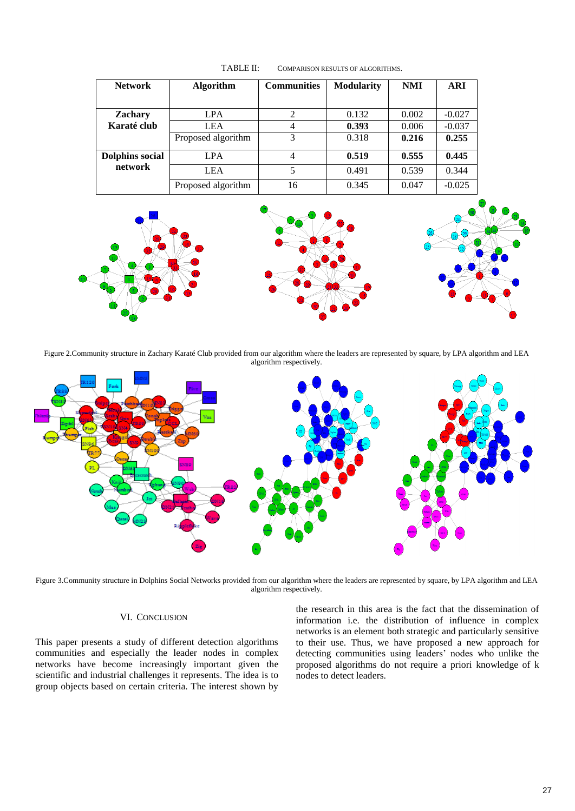| <b>Network</b>                    | <b>Algorithm</b>   | <b>Communities</b> | <b>Modularity</b> | <b>NMI</b> | ARI      |
|-----------------------------------|--------------------|--------------------|-------------------|------------|----------|
|                                   |                    |                    |                   |            |          |
| <b>Zachary</b>                    | <b>LPA</b>         | 2                  | 0.132             | 0.002      | $-0.027$ |
| Karaté club                       | LEA                | 4                  | 0.393             | 0.006      | $-0.037$ |
|                                   | Proposed algorithm | 3                  | 0.318             | 0.216      | 0.255    |
| <b>Dolphins social</b><br>network | <b>LPA</b>         | 4                  | 0.519             | 0.555      | 0.445    |
|                                   | <b>LEA</b>         | 5                  | 0.491             | 0.539      | 0.344    |
|                                   | Proposed algorithm | 16                 | 0.345             | 0.047      | $-0.025$ |

TABLE II: COMPARISON RESULTS OF ALGORITHMS.



Figure 2.Community structure in Zachary Karaté Club provided from our algorithm where the leaders are represented by square, by LPA algorithm and LEA algorithm respectively.



Figure 3.Community structure in Dolphins Social Networks provided from our algorithm where the leaders are represented by square, by LPA algorithm and LEA algorithm respectively.

## VI. CONCLUSION

This paper presents a study of different detection algorithms communities and especially the leader nodes in complex networks have become increasingly important given the scientific and industrial challenges it represents. The idea is to group objects based on certain criteria. The interest shown by the research in this area is the fact that the dissemination of information i.e. the distribution of influence in complex networks is an element both strategic and particularly sensitive to their use. Thus, we have proposed a new approach for detecting communities using leaders' nodes who unlike the proposed algorithms do not require a priori knowledge of k nodes to detect leaders.